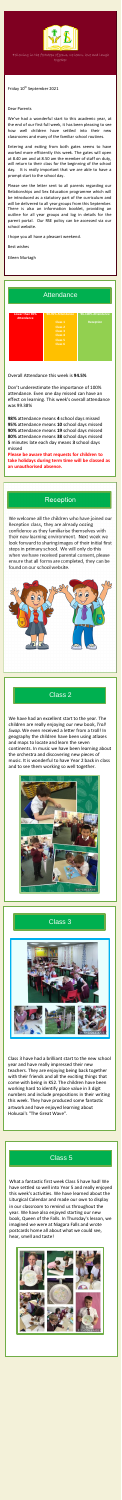

Following in the footsteps of Jesus, we learn, love and laugh together

| Lower than 90%<br><b>Attendance</b> | 90-95% Attendance  | 96-100% Attendance |
|-------------------------------------|--------------------|--------------------|
|                                     | Class 1            | <b>Reception</b>   |
|                                     | Class <sub>2</sub> |                    |
|                                     | Class <sub>3</sub> |                    |
|                                     | Class <sub>4</sub> |                    |
|                                     | Class <sub>5</sub> |                    |
|                                     | Class <sub>6</sub> |                    |
|                                     |                    |                    |
|                                     |                    |                    |
|                                     |                    |                    |

Overall Attendance this week is **94.5%**

Don't underestimate the importance of 100% attendance. Even one day missed can have an effect on learning. This week's overall attendance was 99.38%

**98%** attendance means **4** school days missed **95%** attendance means **10** school days missed **90%** attendance means **19** school days missed **80%** attendance means **38** school days missed **5** minutes late each day means **3** school days missed

P Entering and exiting from both gates seems to have worked more efficiently this week. The gates will open at 8.40 am and at 8.50 am the member of staff on duty, will return to their class for the beginning of the school day. It is really important that we are able to have a prompt start to the school day.

**Please be aware that requests for children to take holidays during term time will be classed as an unauthorised absence.**

### Reception

We welcome all the children who have joined our Reception class, they are already oozing confidence as they familiarise themselves with their new learning environment. Next week we look forward to sharing images of their initial first steps in primary school. We will only do this when we have received parental consent, please ensure that all forms are completed, they can be found on our school website.



Friday 10th September 2021

#### Dear Parents

We've had a wonderful start to this academic year, at the end of our first full week, it has been pleasing to see how well children have settled into their new classrooms and many of the familiar school routines.

Please see the letter sent to all parents regarding our Relationships and Sex Education programme which will be introduced as a statutory part of the curriculum and will be delivered to all year groups from this September. There is also an information booklet, providing an outline for all year groups and log in details for the parent portal. Our RSE policy can be accessed via our school website.

I hope you all have a pleasant weekend.

Best wishes

Eileen Murtagh

## **Attendance**

### Class 2

We have had an excellent start to the year. The children are really enjoying our new book, *Troll Swap*. We even received a letter from a troll! In geography the children have been using atlases and maps to locate and learn the seven continents. In music we have been learning about the orchestra and discovering new pieces of music. It is wonderful to have Year 2 back in class and to see them working so well together.



#### Class 3



Class 3 have had a brilliant start to the new school year and have really impressed their new teachers. They are enjoying being back together with their friends and all the exciting things that come with being in KS2. The children have been working hard to identify place value in 3 digit numbers and include prepositions in their writing this week. They have produced some fantastic artwork and have enjoyed learning about Hokusai's "The Great Wave".

# Class 5

What a fantastic first week Class 5 have had! We have settled so well into Year 5 and really enjoyed this week's activities. We have learned about the Liturgical Calendar and made our own to display in our classroom to remind us throughout the year. We have also enjoyed starting our new book, Queen of the Falls. In Thursday's lesson, we imagined we were at Niagara Falls and wrote postcards home all about what we could see, hear, smell and taste!